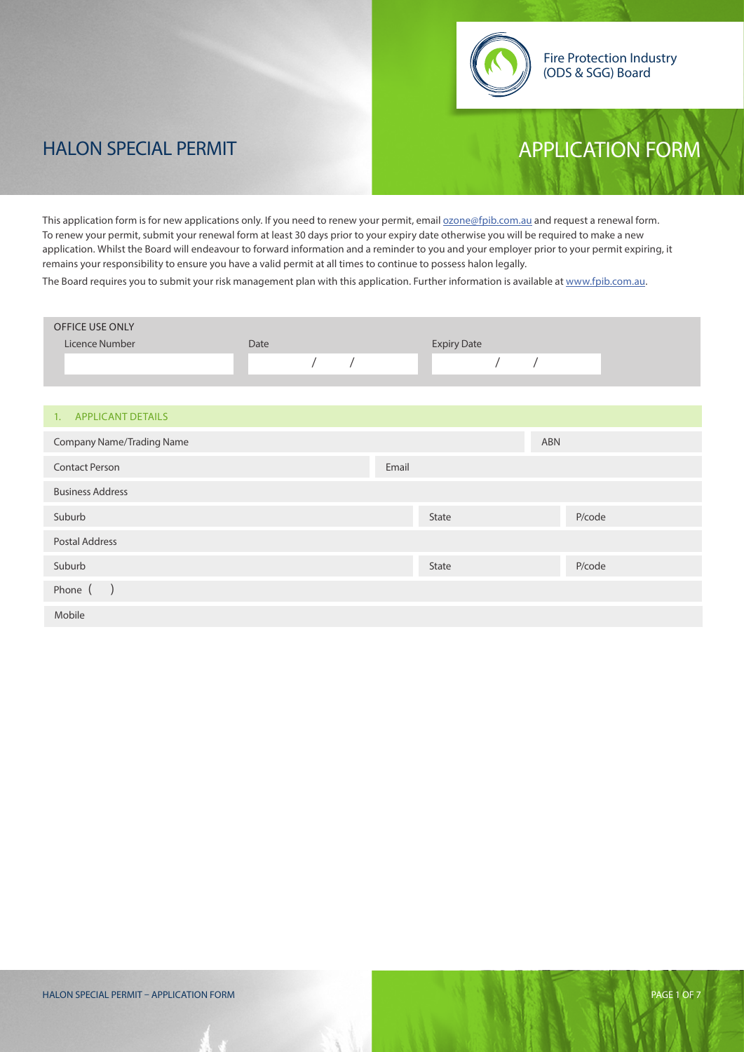This application form is for new applications only. If you need to renew your permit, email **ozone@fpib.com.au** and request a renewal form. To renew your permit, submit your renewal form at least 30 days prior to your expiry date otherwise you will be required to make a new application. Whilst the Board will endeavour to forward information and a reminder to you and your employer prior to your permit expiring, it remains your responsibility to ensure you have a valid permit at all times to continue to possess halon legally.

The Board requires you to submit your risk management plan with this application. Further information is available at www.fpib.com.au.

| OFFICE USE ONLY                  |      |          |       |                    |          |        |
|----------------------------------|------|----------|-------|--------------------|----------|--------|
| Licence Number                   | Date |          |       | <b>Expiry Date</b> |          |        |
|                                  |      | $\prime$ |       |                    | $\prime$ |        |
|                                  |      |          |       |                    |          |        |
|                                  |      |          |       |                    |          |        |
| 1. APPLICANT DETAILS             |      |          |       |                    |          |        |
| <b>Company Name/Trading Name</b> |      |          |       |                    | ABN      |        |
| <b>Contact Person</b>            |      |          | Email |                    |          |        |
| <b>Business Address</b>          |      |          |       |                    |          |        |
| Suburb                           |      |          |       | State              |          | P/code |
| Postal Address                   |      |          |       |                    |          |        |
| Suburb                           |      |          |       | State              |          | P/code |
| Phone ()                         |      |          |       |                    |          |        |
| Mobile                           |      |          |       |                    |          |        |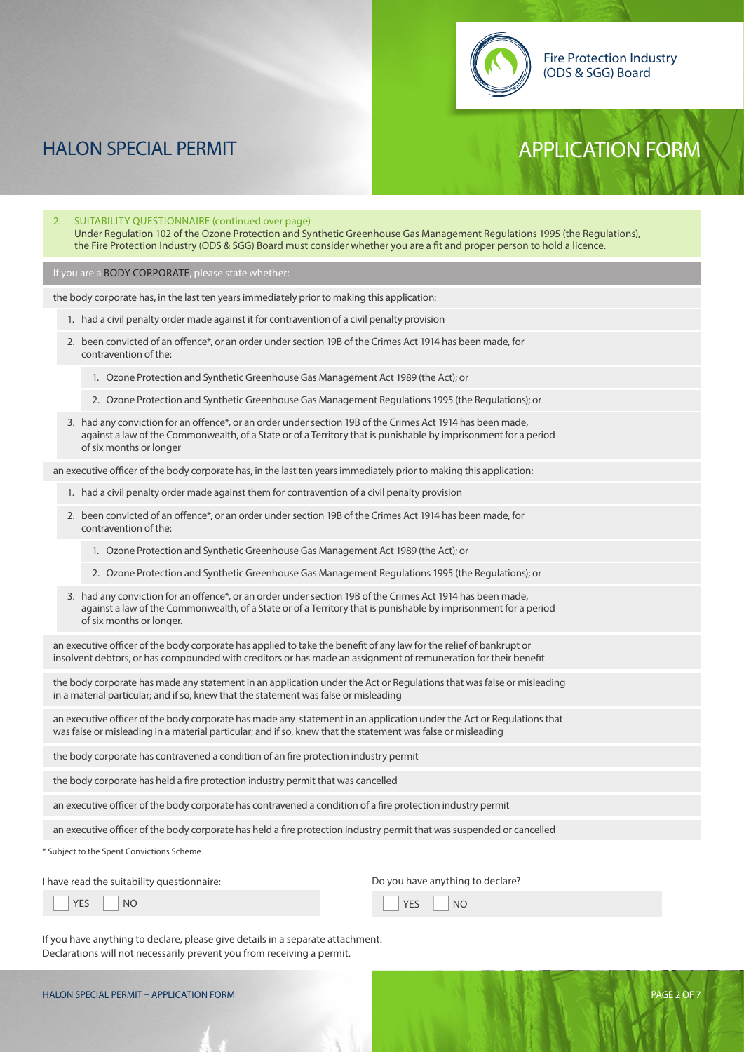2. SUITABILITY QUESTIONNAIRE (continued over page) Under Regulation 102 of the Ozone Protection and Synthetic Greenhouse Gas Management Regulations 1995 (the Regulations), the Fire Protection Industry (ODS & SGG) Board must consider whether you are a fit and proper person to hold a licence.

If you are a BODY CORPORATE, please state whether:

the body corporate has, in the last ten years immediately prior to making this application:

- 1. had a civil penalty order made against it for contravention of a civil penalty provision
- 2. been convicted of an offence\*, or an order under section 19B of the Crimes Act 1914 has been made, for contravention of the:
	- 1. Ozone Protection and Synthetic Greenhouse Gas Management Act 1989 (the Act); or
	- 2. Ozone Protection and Synthetic Greenhouse Gas Management Regulations 1995 (the Regulations); or
- 3. had any conviction for an offence\*, or an order under section 19B of the Crimes Act 1914 has been made, against a law of the Commonwealth, of a State or of a Territory that is punishable by imprisonment for a period of six months or longer

an executive officer of the body corporate has, in the last ten years immediately prior to making this application:

- 1. had a civil penalty order made against them for contravention of a civil penalty provision
- 2. been convicted of an offence\*, or an order under section 19B of the Crimes Act 1914 has been made, for contravention of the:
	- 1. Ozone Protection and Synthetic Greenhouse Gas Management Act 1989 (the Act); or
	- 2. Ozone Protection and Synthetic Greenhouse Gas Management Regulations 1995 (the Regulations); or
- 3. had any conviction for an offence\*, or an order under section 19B of the Crimes Act 1914 has been made, against a law of the Commonwealth, of a State or of a Territory that is punishable by imprisonment for a period of six months or longer.

an executive officer of the body corporate has applied to take the benefit of any law for the relief of bankrupt or insolvent debtors, or has compounded with creditors or has made an assignment of remuneration for their benefit

the body corporate has made any statement in an application under the Act or Regulations that was false or misleading in a material particular; and if so, knew that the statement was false or misleading

an executive officer of the body corporate has made any statement in an application under the Act or Regulations that was false or misleading in a material particular; and if so, knew that the statement was false or misleading

the body corporate has contravened a condition of an fire protection industry permit

the body corporate has held a fire protection industry permit that was cancelled

an executive officer of the body corporate has contravened a condition of a fire protection industry permit

an executive officer of the body corporate has held a fire protection industry permit that was suspended or cancelled

\* Subject to the Spent Convictions Scheme

| I have read the suitability questionnaire: | Do you have anything to declare? |  |  |
|--------------------------------------------|----------------------------------|--|--|
| $YES$ NO                                   | YES NO                           |  |  |

If you have anything to declare, please give details in a separate attachment. Declarations will not necessarily prevent you from receiving a permit.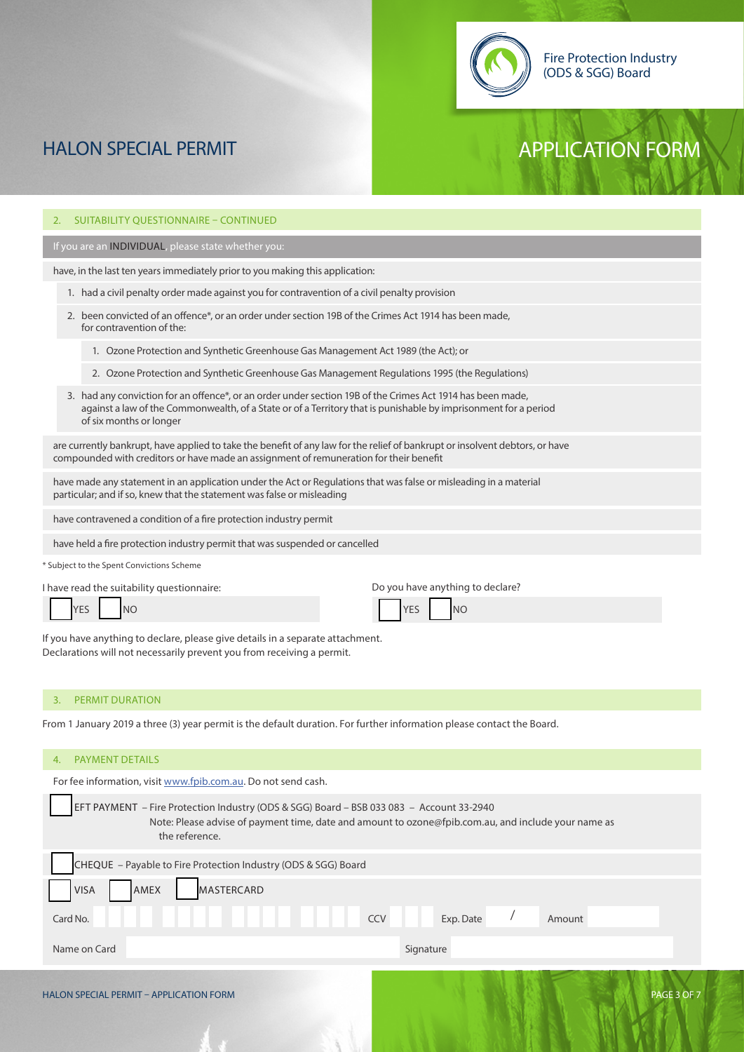## 2. SUITABILITY QUESTIONNAIRE – CONTINUED

If you are an INDIVIDUAL, please state whether you:

have, in the last ten years immediately prior to you making this application:

- 1. had a civil penalty order made against you for contravention of a civil penalty provision
- 2. been convicted of an offence\*, or an order under section 19B of the Crimes Act 1914 has been made, for contravention of the:
	- 1. Ozone Protection and Synthetic Greenhouse Gas Management Act 1989 (the Act); or
	- 2. Ozone Protection and Synthetic Greenhouse Gas Management Regulations 1995 (the Regulations)
- 3. had any conviction for an offence\*, or an order under section 19B of the Crimes Act 1914 has been made, against a law of the Commonwealth, of a State or of a Territory that is punishable by imprisonment for a period of six months or longer

are currently bankrupt, have applied to take the benefit of any law for the relief of bankrupt or insolvent debtors, or have compounded with creditors or have made an assignment of remuneration for their benefit

have made any statement in an application under the Act or Regulations that was false or misleading in a material particular; and if so, knew that the statement was false or misleading

have contravened a condition of a fire protection industry permit

have held a fire protection industry permit that was suspended or cancelled

\* Subject to the Spent Convictions Scheme

I have read the suitability questionnaire:

YES NO

Do you have anything to declare?

YES NO

If you have anything to declare, please give details in a separate attachment. Declarations will not necessarily prevent you from receiving a permit.

### PERMIT DURATION

From 1 January 2019 a three (3) year permit is the default duration. For further information please contact the Board.

## PAYMENT DETAILS

| For fee information, visit www.fpib.com.au. Do not send cash.                                                                                                                                                            |                     |  |  |  |
|--------------------------------------------------------------------------------------------------------------------------------------------------------------------------------------------------------------------------|---------------------|--|--|--|
| <b>EFT PAYMENT</b> - Fire Protection Industry (ODS & SGG) Board - BSB 033 083 - Account 33-2940<br>Note: Please advise of payment time, date and amount to ozone@fpib.com.au, and include your name as<br>the reference. |                     |  |  |  |
| CHEQUE - Payable to Fire Protection Industry (ODS & SGG) Board                                                                                                                                                           |                     |  |  |  |
| <b>AMEX</b><br><b>MASTERCARD</b><br><b>VISA</b>                                                                                                                                                                          |                     |  |  |  |
| Card No.<br><b>CCV</b>                                                                                                                                                                                                   | Exp. Date<br>Amount |  |  |  |
| Name on Card                                                                                                                                                                                                             | Signature           |  |  |  |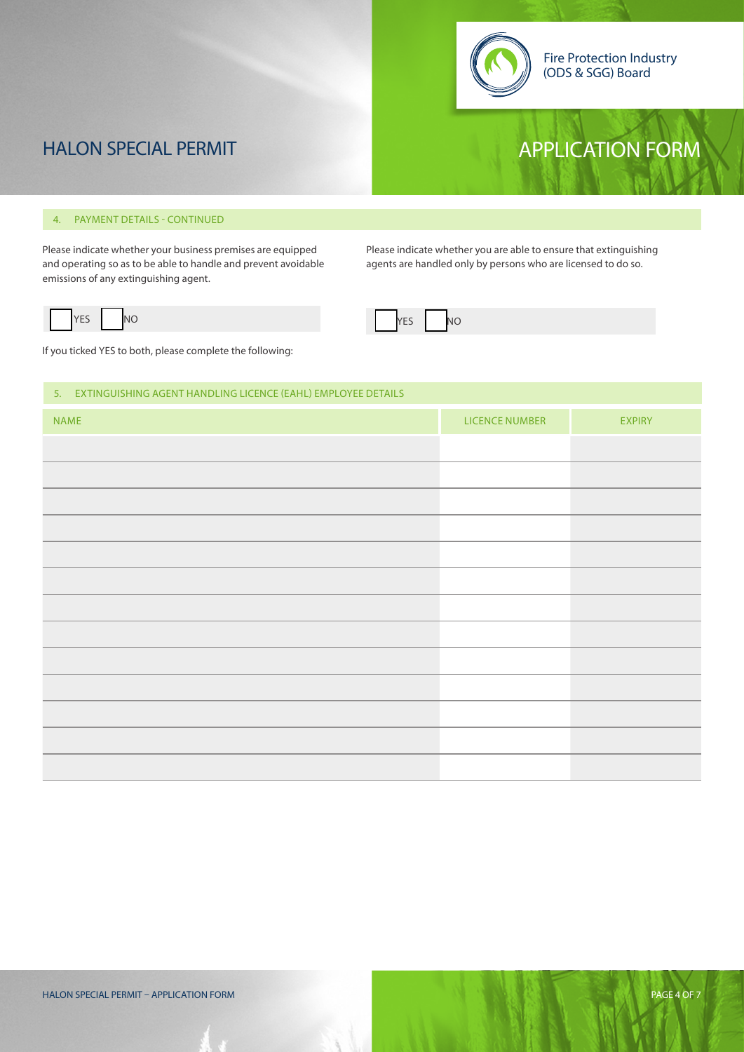

## 4. PAYMENT DETAILS - CONTINUED

Please indicate whether your business premises are equipped and operating so as to be able to handle and prevent avoidable emissions of any extinguishing agent.

If you ticked YES to both, please complete the following:

Please indicate whether you are able to ensure that extinguishing agents are handled only by persons who are licensed to do so.

| IVF <sub>c</sub> |  | N <sub>C</sub> |
|------------------|--|----------------|
|------------------|--|----------------|

 $\mathbf{I}$ 

YES NO

5. EXTINGUISHING AGENT HANDLING LICENCE (EAHL) EMPLOYEE DETAILS

| <b>NAME</b> | <b>LICENCE NUMBER</b> | <b>EXPIRY</b> |
|-------------|-----------------------|---------------|
|             |                       |               |
|             |                       |               |
|             |                       |               |
|             |                       |               |
|             |                       |               |
|             |                       |               |
|             |                       |               |
|             |                       |               |
|             |                       |               |
|             |                       |               |
|             |                       |               |
|             |                       |               |
|             |                       |               |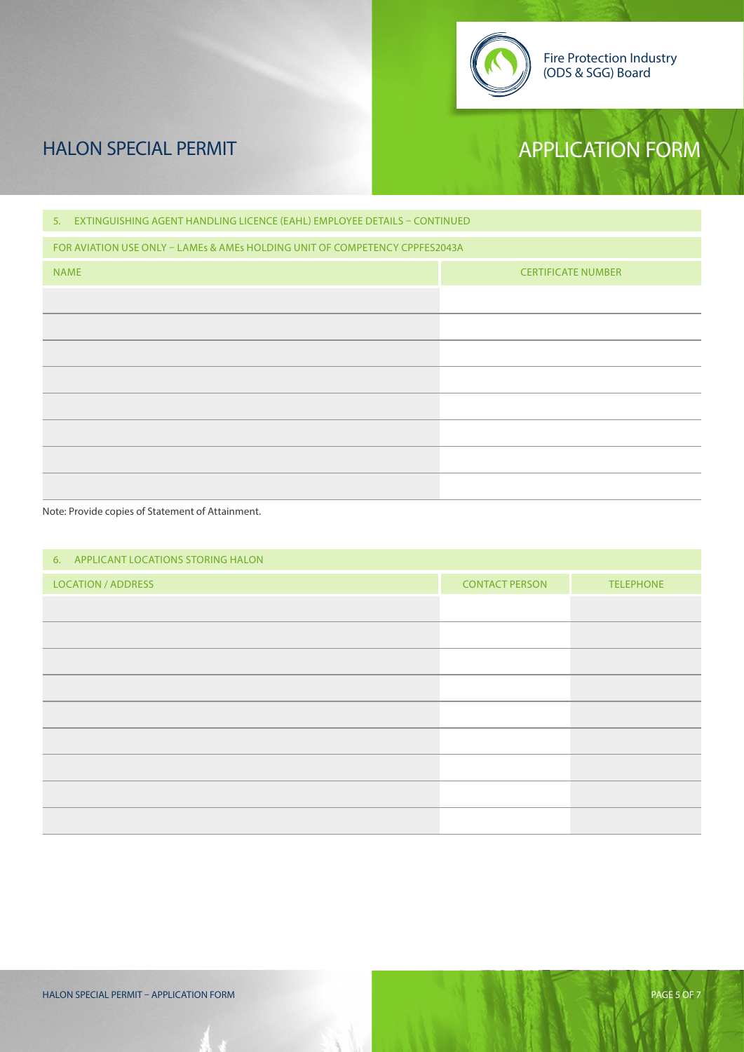| 5. EXTINGUISHING AGENT HANDLING LICENCE (EAHL) EMPLOYEE DETAILS - CONTINUED |                           |  |  |  |
|-----------------------------------------------------------------------------|---------------------------|--|--|--|
| FOR AVIATION USE ONLY - LAMEs & AMES HOLDING UNIT OF COMPETENCY CPPFES2043A |                           |  |  |  |
| <b>NAME</b>                                                                 | <b>CERTIFICATE NUMBER</b> |  |  |  |
|                                                                             |                           |  |  |  |
|                                                                             |                           |  |  |  |
|                                                                             |                           |  |  |  |
|                                                                             |                           |  |  |  |
|                                                                             |                           |  |  |  |
|                                                                             |                           |  |  |  |
|                                                                             |                           |  |  |  |
|                                                                             |                           |  |  |  |
|                                                                             |                           |  |  |  |

Note: Provide copies of Statement of Attainment.

| <b>CONTACT PERSON</b> | <b>TELEPHONE</b> |
|-----------------------|------------------|
|                       |                  |
|                       |                  |
|                       |                  |
|                       |                  |
|                       |                  |
|                       |                  |
|                       |                  |
|                       |                  |
|                       |                  |
|                       |                  |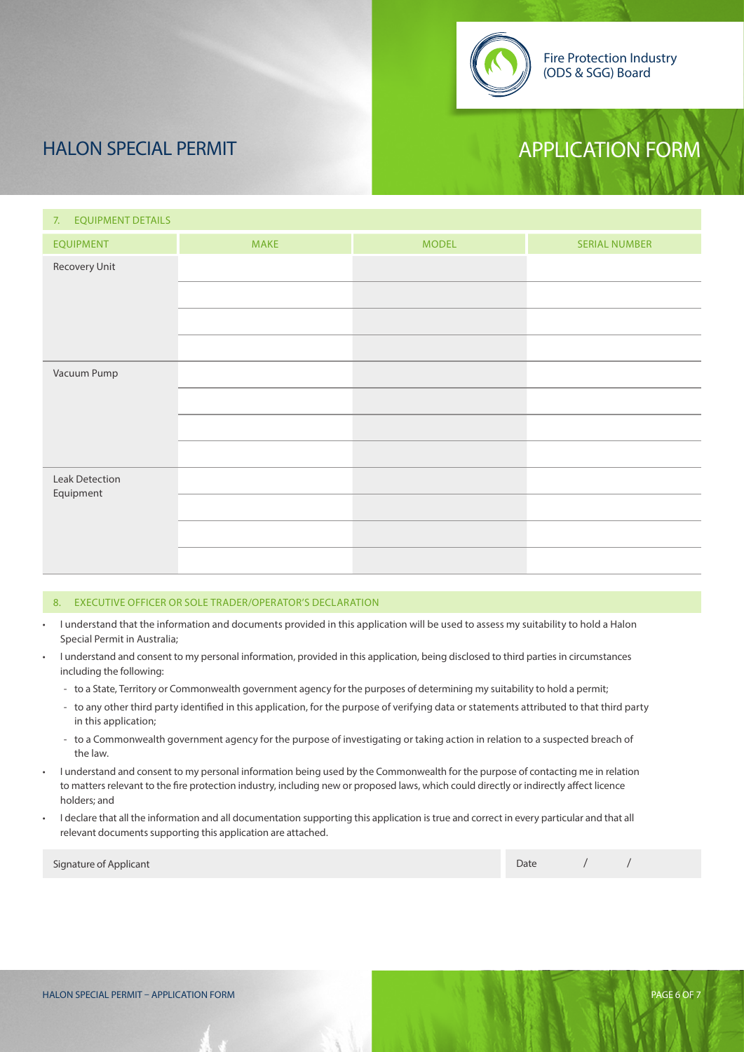| <b>EQUIPMENT DETAILS</b><br>7.     |             |              |                      |
|------------------------------------|-------------|--------------|----------------------|
| <b>EQUIPMENT</b>                   | <b>MAKE</b> | <b>MODEL</b> | <b>SERIAL NUMBER</b> |
| Recovery Unit                      |             |              |                      |
|                                    |             |              |                      |
|                                    |             |              |                      |
|                                    |             |              |                      |
| Vacuum Pump                        |             |              |                      |
|                                    |             |              |                      |
|                                    |             |              |                      |
|                                    |             |              |                      |
| <b>Leak Detection</b><br>Equipment |             |              |                      |
|                                    |             |              |                      |
|                                    |             |              |                      |
|                                    |             |              |                      |

## 8. EXECUTIVE OFFICER OR SOLE TRADER/OPERATOR'S DECLARATION

- I understand that the information and documents provided in this application will be used to assess my suitability to hold a Halon Special Permit in Australia;
- I understand and consent to my personal information, provided in this application, being disclosed to third parties in circumstances including the following:
	- to a State, Territory or Commonwealth government agency for the purposes of determining my suitability to hold a permit;
	- to any other third party identified in this application, for the purpose of verifying data or statements attributed to that third party in this application;
	- to a Commonwealth government agency for the purpose of investigating or taking action in relation to a suspected breach of the law.
- I understand and consent to my personal information being used by the Commonwealth for the purpose of contacting me in relation to matters relevant to the fire protection industry, including new or proposed laws, which could directly or indirectly affect licence holders; and
- I declare that all the information and all documentation supporting this application is true and correct in every particular and that all relevant documents supporting this application are attached.